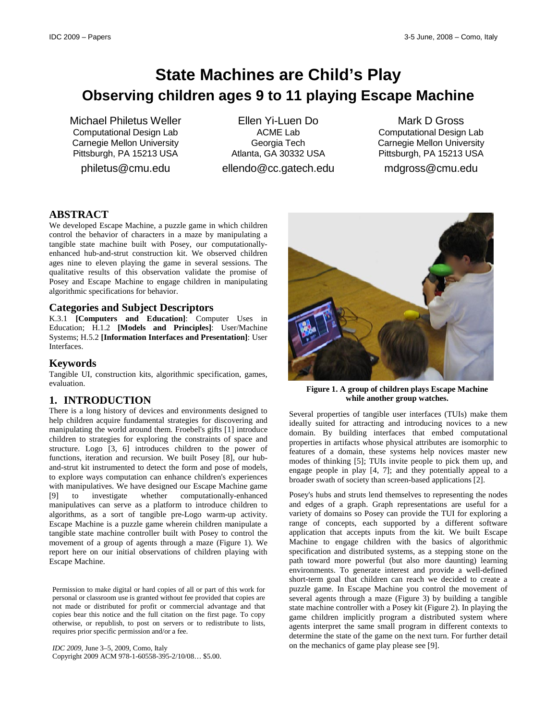# **State Machines are Child's Play Observing children ages 9 to 11 playing Escape Machine**

Michael Philetus Weller Computational Design Lab Carnegie Mellon University Pittsburgh, PA 15213 USA

philetus@cmu.edu

Ellen Yi-Luen Do ACME Lab Georgia Tech Atlanta, GA 30332 USA

ellendo@cc.gatech.edu

Mark D Gross Computational Design Lab Carnegie Mellon University Pittsburgh, PA 15213 USA

mdgross@cmu.edu

# **ABSTRACT**

We developed Escape Machine, a puzzle game in which children control the behavior of characters in a maze by manipulating a tangible state machine built with Posey, our computationallyenhanced hub-and-strut construction kit. We observed children ages nine to eleven playing the game in several sessions. The qualitative results of this observation validate the promise of Posey and Escape Machine to engage children in manipulating algorithmic specifications for behavior.

#### **Categories and Subject Descriptors**

K.3.1 **[Computers and Education]**: Computer Uses in Education; H.1.2 **[Models and Principles]**: User/Machine Systems; H.5.2 **[Information Interfaces and Presentation]**: User Interfaces.

#### **Keywords**

Tangible UI, construction kits, algorithmic specification, games, evaluation.

# **1. INTRODUCTION**

There is a long history of devices and environments designed to help children acquire fundamental strategies for discovering and manipulating the world around them. Froebel's gifts [1] introduce children to strategies for exploring the constraints of space and structure. Logo [3, 6] introduces children to the power of functions, iteration and recursion. We built Posey [8], our huband-strut kit instrumented to detect the form and pose of models, to explore ways computation can enhance children's experiences with manipulatives. We have designed our Escape Machine game [9] to investigate whether computationally-enhanced manipulatives can serve as a platform to introduce children to algorithms, as a sort of tangible pre-Logo warm-up activity. Escape Machine is a puzzle game wherein children manipulate a tangible state machine controller built with Posey to control the movement of a group of agents through a maze [\(Figure 1\)](#page-0-0). We report here on our initial observations of children playing with Escape Machine.

Permission to make digital or hard copies of all or part of this work for personal or classroom use is granted without fee provided that copies are not made or distributed for profit or commercial advantage and that copies bear this notice and the full citation on the first page. To copy otherwise, or republish, to post on servers or to redistribute to lists, requires prior specific permission and/or a fee.

*IDC 2009*, June 3–5, 2009, Como, Italy Copyright 2009 ACM 978-1-60558-395-2/10/08… \$5.00.



**Figure 1. A group of children plays Escape Machine while another group watches.**

<span id="page-0-0"></span>Several properties of tangible user interfaces (TUIs) make them ideally suited for attracting and introducing novices to a new domain. By building interfaces that embed computational properties in artifacts whose physical attributes are isomorphic to features of a domain, these systems help novices master new modes of thinking [5]; TUIs invite people to pick them up, and engage people in play [4, 7]; and they potentially appeal to a broader swath of society than screen-based applications [2].

Posey's hubs and struts lend themselves to representing the nodes and edges of a graph. Graph representations are useful for a variety of domains so Posey can provide the TUI for exploring a range of concepts, each supported by a different software application that accepts inputs from the kit. We built Escape Machine to engage children with the basics of algorithmic specification and distributed systems, as a stepping stone on the path toward more powerful (but also more daunting) learning environments. To generate interest and provide a well-defined short-term goal that children can reach we decided to create a puzzle game. In Escape Machine you control the movement of several agents through a maze [\(Figure 3\)](#page-1-0) by building a tangible state machine controller with a Posey kit [\(Figure 2\)](#page-1-1). In playing the game children implicitly program a distributed system where agents interpret the same small program in different contexts to determine the state of the game on the next turn. For further detail on the mechanics of game play please see [9].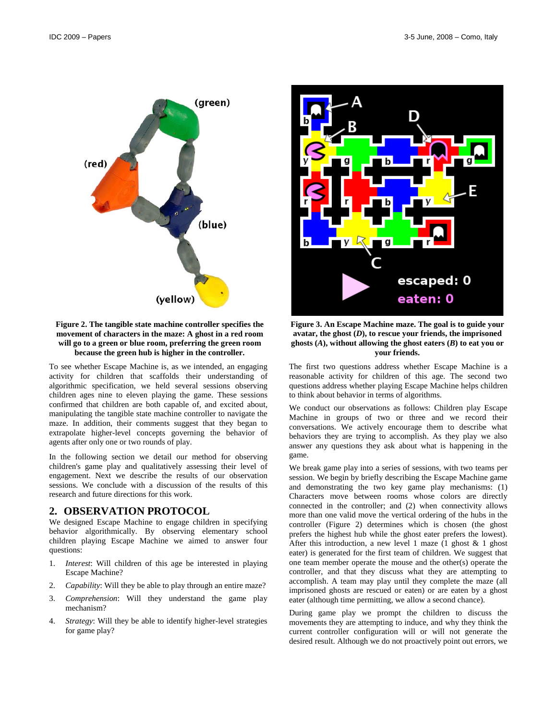

#### <span id="page-1-1"></span>**Figure 2. The tangible state machine controller specifies the movement of characters in the maze: A ghost in a red room will go to a green or blue room, preferring the green room because the green hub is higher in the controller.**

To see whether Escape Machine is, as we intended, an engaging activity for children that scaffolds their understanding of algorithmic specification, we held several sessions observing children ages nine to eleven playing the game. These sessions confirmed that children are both capable of, and excited about, manipulating the tangible state machine controller to navigate the maze. In addition, their comments suggest that they began to extrapolate higher-level concepts governing the behavior of agents after only one or two rounds of play.

In the following section we detail our method for observing children's game play and qualitatively assessing their level of engagement. Next we describe the results of our observation sessions. We conclude with a discussion of the results of this research and future directions for this work.

#### **2. OBSERVATION PROTOCOL**

We designed Escape Machine to engage children in specifying behavior algorithmically. By observing elementary school children playing Escape Machine we aimed to answer four questions:

- 1. *Interest*: Will children of this age be interested in playing Escape Machine?
- 2. *Capability*: Will they be able to play through an entire maze?
- 3. *Comprehension*: Will they understand the game play mechanism?
- 4. *Strategy*: Will they be able to identify higher-level strategies for game play?



**Figure 3. An Escape Machine maze. The goal is to guide your avatar, the ghost (***D***), to rescue your friends, the imprisoned**  ghosts  $(A)$ , without allowing the ghost eaters  $(B)$  to eat you or **your friends.**

<span id="page-1-0"></span>The first two questions address whether Escape Machine is a reasonable activity for children of this age. The second two questions address whether playing Escape Machine helps children to think about behavior in terms of algorithms.

We conduct our observations as follows: Children play Escape Machine in groups of two or three and we record their conversations. We actively encourage them to describe what behaviors they are trying to accomplish. As they play we also answer any questions they ask about what is happening in the game.

We break game play into a series of sessions, with two teams per session. We begin by briefly describing the Escape Machine game and demonstrating the two key game play mechanisms: (1) Characters move between rooms whose colors are directly connected in the controller; and (2) when connectivity allows more than one valid move the vertical ordering of the hubs in the controller [\(Figure 2\)](#page-1-1) determines which is chosen (the ghost prefers the highest hub while the ghost eater prefers the lowest). After this introduction, a new level 1 maze (1 ghost  $& 1$  ghost eater) is generated for the first team of children. We suggest that one team member operate the mouse and the other(s) operate the controller, and that they discuss what they are attempting to accomplish. A team may play until they complete the maze (all imprisoned ghosts are rescued or eaten) or are eaten by a ghost eater (although time permitting, we allow a second chance).

During game play we prompt the children to discuss the movements they are attempting to induce, and why they think the current controller configuration will or will not generate the desired result. Although we do not proactively point out errors, we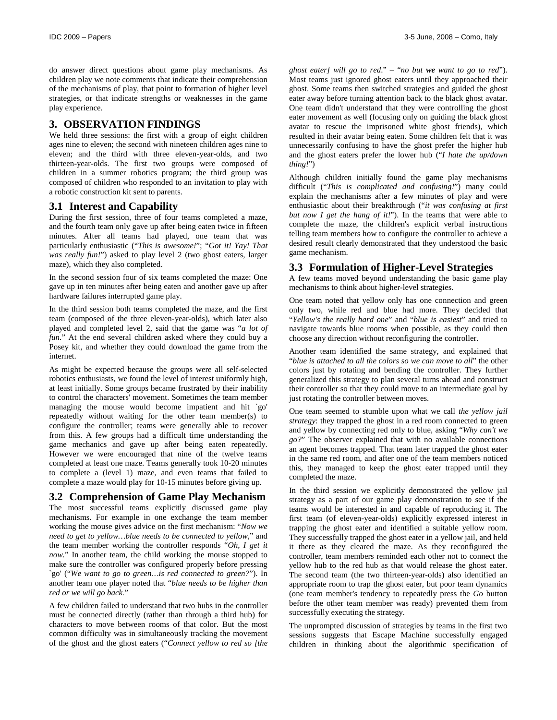do answer direct questions about game play mechanisms. As children play we note comments that indicate their comprehension of the mechanisms of play, that point to formation of higher level strategies, or that indicate strengths or weaknesses in the game play experience.

## **3. OBSERVATION FINDINGS**

We held three sessions: the first with a group of eight children ages nine to eleven; the second with nineteen children ages nine to eleven; and the third with three eleven-year-olds, and two thirteen-year-olds. The first two groups were composed of children in a summer robotics program; the third group was composed of children who responded to an invitation to play with a robotic construction kit sent to parents.

#### **3.1 Interest and Capability**

During the first session, three of four teams completed a maze, and the fourth team only gave up after being eaten twice in fifteen minutes. After all teams had played, one team that was particularly enthusiastic ("*This is awesome!*"; "*Got it! Yay! That was really fun!*") asked to play level 2 (two ghost eaters, larger maze), which they also completed.

In the second session four of six teams completed the maze: One gave up in ten minutes after being eaten and another gave up after hardware failures interrupted game play.

In the third session both teams completed the maze, and the first team (composed of the three eleven-year-olds), which later also played and completed level 2, said that the game was "*a lot of fun.*" At the end several children asked where they could buy a Posey kit, and whether they could download the game from the internet.

As might be expected because the groups were all self-selected robotics enthusiasts, we found the level of interest uniformly high, at least initially. Some groups became frustrated by their inability to control the characters' movement. Sometimes the team member managing the mouse would become impatient and hit `go' repeatedly without waiting for the other team member(s) to configure the controller; teams were generally able to recover from this. A few groups had a difficult time understanding the game mechanics and gave up after being eaten repeatedly. However we were encouraged that nine of the twelve teams completed at least one maze. Teams generally took 10-20 minutes to complete a (level 1) maze, and even teams that failed to complete a maze would play for 10-15 minutes before giving up.

# **3.2 Comprehension of Game Play Mechanism**

The most successful teams explicitly discussed game play mechanisms. For example in one exchange the team member working the mouse gives advice on the first mechanism: "*Now we need to get to yellow…blue needs to be connected to yellow,*" and the team member working the controller responds "*Oh, I get it now.*" In another team, the child working the mouse stopped to make sure the controller was configured properly before pressing `go' ("*We want to go to green…is red connected to green?*"). In another team one player noted that "*blue needs to be higher than red or we will go back.*"

A few children failed to understand that two hubs in the controller must be connected directly (rather than through a third hub) for characters to move between rooms of that color. But the most common difficulty was in simultaneously tracking the movement of the ghost and the ghost eaters ("*Connect yellow to red so [the* 

*ghost eater] will go to red*." – "*no but we want to go to red*"). Most teams just ignored ghost eaters until they approached their ghost. Some teams then switched strategies and guided the ghost eater away before turning attention back to the black ghost avatar. One team didn't understand that they were controlling the ghost eater movement as well (focusing only on guiding the black ghost avatar to rescue the imprisoned white ghost friends), which resulted in their avatar being eaten. Some children felt that it was unnecessarily confusing to have the ghost prefer the higher hub and the ghost eaters prefer the lower hub ("*I hate the up/down thing!*")

Although children initially found the game play mechanisms difficult ("*This is complicated and confusing!*") many could explain the mechanisms after a few minutes of play and were enthusiastic about their breakthrough ("*it was confusing at first but now I get the hang of it!*"). In the teams that were able to complete the maze, the children's explicit verbal instructions telling team members how to configure the controller to achieve a desired result clearly demonstrated that they understood the basic game mechanism.

#### **3.3 Formulation of Higher-Level Strategies**

A few teams moved beyond understanding the basic game play mechanisms to think about higher-level strategies.

One team noted that yellow only has one connection and green only two, while red and blue had more. They decided that "*Yellow's the really hard one*" and "*blue is easiest*" and tried to navigate towards blue rooms when possible, as they could then choose any direction without reconfiguring the controller.

Another team identified the same strategy, and explained that "*blue is attached to all the colors so we can move to all*" the other colors just by rotating and bending the controller. They further generalized this strategy to plan several turns ahead and construct their controller so that they could move to an intermediate goal by just rotating the controller between moves.

One team seemed to stumble upon what we call *the yellow jail strategy*: they trapped the ghost in a red room connected to green and yellow by connecting red only to blue, asking "*Why can't we go?*" The observer explained that with no available connections an agent becomes trapped. That team later trapped the ghost eater in the same red room, and after one of the team members noticed this, they managed to keep the ghost eater trapped until they completed the maze.

In the third session we explicitly demonstrated the yellow jail strategy as a part of our game play demonstration to see if the teams would be interested in and capable of reproducing it. The first team (of eleven-year-olds) explicitly expressed interest in trapping the ghost eater and identified a suitable yellow room. They successfully trapped the ghost eater in a yellow jail, and held it there as they cleared the maze. As they reconfigured the controller, team members reminded each other not to connect the yellow hub to the red hub as that would release the ghost eater. The second team (the two thirteen-year-olds) also identified an appropriate room to trap the ghost eater, but poor team dynamics (one team member's tendency to repeatedly press the *Go* button before the other team member was ready) prevented them from successfully executing the strategy.

The unprompted discussion of strategies by teams in the first two sessions suggests that Escape Machine successfully engaged children in thinking about the algorithmic specification of